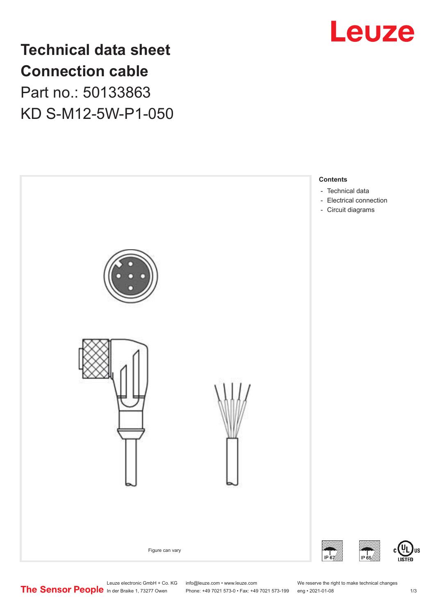

**Technical data sheet Connection cable** Part no.: 50133863 KD S-M12-5W-P1-050



Leuze electronic GmbH + Co. KG info@leuze.com • www.leuze.com We reserve the right to make technical changes<br>
The Sensor People in der Braike 1, 73277 Owen Phone: +49 7021 573-0 • Fax: +49 7021 573-199 eng • 2021-01-08 Phone: +49 7021 573-0 • Fax: +49 7021 573-199 eng • 2021-01-08 1/3

US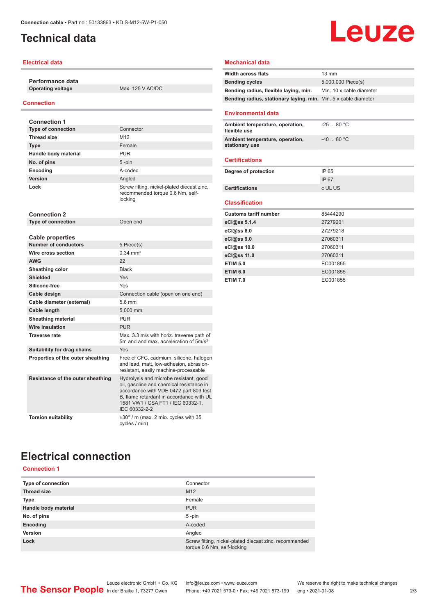## <span id="page-1-0"></span>**Technical data**

#### **Electrical data**

**Performance data**

**Operating voltage** Max. 125 V AC/DC

#### **Connection**

| <b>Connection 1</b>                                    |                                                                                                                                                                                                                                |  |
|--------------------------------------------------------|--------------------------------------------------------------------------------------------------------------------------------------------------------------------------------------------------------------------------------|--|
| <b>Type of connection</b>                              | Connector                                                                                                                                                                                                                      |  |
| <b>Thread size</b>                                     | M12                                                                                                                                                                                                                            |  |
| <b>Type</b>                                            | Female                                                                                                                                                                                                                         |  |
| Handle body material                                   | <b>PUR</b>                                                                                                                                                                                                                     |  |
| No. of pins                                            | $5 - pin$                                                                                                                                                                                                                      |  |
| Encoding                                               | A-coded                                                                                                                                                                                                                        |  |
| Version                                                | Angled                                                                                                                                                                                                                         |  |
| Lock                                                   | Screw fitting, nickel-plated diecast zinc,<br>recommended torque 0.6 Nm, self-<br>locking                                                                                                                                      |  |
| <b>Connection 2</b>                                    |                                                                                                                                                                                                                                |  |
| <b>Type of connection</b>                              | Open end                                                                                                                                                                                                                       |  |
|                                                        |                                                                                                                                                                                                                                |  |
| <b>Cable properties</b><br><b>Number of conductors</b> |                                                                                                                                                                                                                                |  |
| Wire cross section                                     | 5 Piece(s)<br>$0.34 \, \text{mm}^2$                                                                                                                                                                                            |  |
|                                                        |                                                                                                                                                                                                                                |  |
| <b>AWG</b>                                             | 22<br><b>Black</b>                                                                                                                                                                                                             |  |
| Sheathing color<br><b>Shielded</b>                     |                                                                                                                                                                                                                                |  |
|                                                        | Yes                                                                                                                                                                                                                            |  |
| Silicone-free                                          | Yes                                                                                                                                                                                                                            |  |
| Cable design                                           | Connection cable (open on one end)                                                                                                                                                                                             |  |
| Cable diameter (external)                              | 5.6 mm                                                                                                                                                                                                                         |  |
| Cable length                                           | 5.000 mm                                                                                                                                                                                                                       |  |
| <b>Sheathing material</b>                              | <b>PUR</b>                                                                                                                                                                                                                     |  |
| <b>Wire insulation</b>                                 | <b>PUR</b>                                                                                                                                                                                                                     |  |
| <b>Traverse rate</b>                                   | Max. 3.3 m/s with horiz. traverse path of<br>5m and and max acceleration of 5m/s <sup>2</sup>                                                                                                                                  |  |
| Suitability for drag chains                            | Yes                                                                                                                                                                                                                            |  |
| Properties of the outer sheathing                      | Free of CFC, cadmium, silicone, halogen<br>and lead, matt, low-adhesion, abrasion-<br>resistant, easily machine-processable                                                                                                    |  |
| Resistance of the outer sheathing                      | Hydrolysis and microbe resistant, good<br>oil, gasoline and chemical resistance in<br>accordance with VDE 0472 part 803 test<br>B. flame retardant in accordance with UL<br>1581 VW1 / CSA FT1 / IEC 60332-1.<br>IEC 60332-2-2 |  |
| <b>Torsion suitability</b>                             | ±30° / m (max. 2 mio. cycles with 35<br>cycles / min)                                                                                                                                                                          |  |

#### **Mechanical data**

| <b>Width across flats</b>                                       | $13 \text{ mm}$          |  |
|-----------------------------------------------------------------|--------------------------|--|
| <b>Bending cycles</b>                                           | 5,000,000 Piece(s)       |  |
| Bending radius, flexible laying, min.                           | Min. 10 x cable diameter |  |
| Bending radius, stationary laying, min. Min. 5 x cable diameter |                          |  |
| <b>Environmental data</b>                                       |                          |  |
| Ambient temperature, operation,<br>flexible use                 | $-2580 °C$               |  |
| Ambient temperature, operation,<br>stationary use               | $-40.80 °C$              |  |
| <b>Certifications</b>                                           |                          |  |
| Degree of protection                                            | IP 65                    |  |
|                                                                 | <b>IP67</b>              |  |
| <b>Certifications</b>                                           | c UL US                  |  |
|                                                                 |                          |  |
| <b>Classification</b>                                           |                          |  |
| <b>Customs tariff number</b>                                    | 85444290                 |  |
| eCl@ss 5.1.4                                                    | 27279201                 |  |
| eCl@ss 8.0                                                      | 27279218                 |  |
| eCl@ss 9.0                                                      | 27060311                 |  |
| eCl@ss 10.0                                                     | 27060311                 |  |
| eCl@ss 11.0                                                     | 27060311                 |  |
| <b>ETIM 5.0</b>                                                 | EC001855                 |  |
| <b>ETIM 6.0</b><br><b>ETIM 7.0</b>                              | EC001855<br>EC001855     |  |

**Leuze** 

# **Electrical connection**

## **Connection 1**

| Screw fitting, nickel-plated diecast zinc, recommended |
|--------------------------------------------------------|
|                                                        |